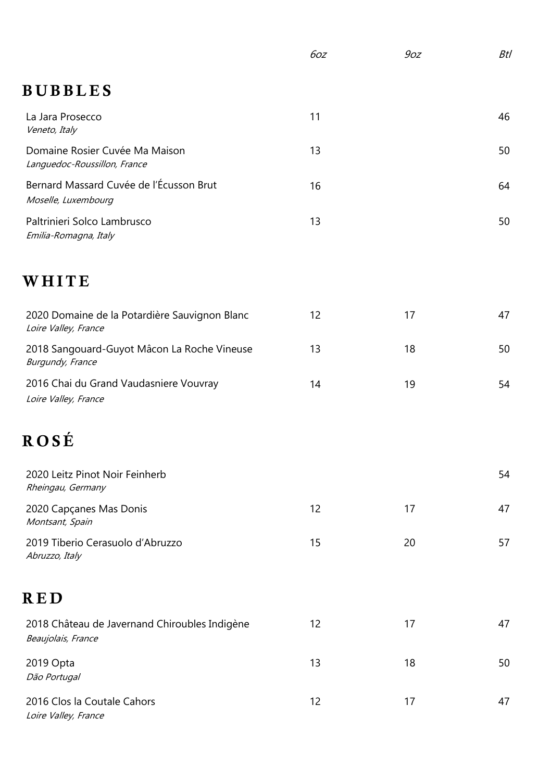|                                                                       | 6oz | 9oz | Btl |
|-----------------------------------------------------------------------|-----|-----|-----|
| <b>BUBBLES</b>                                                        |     |     |     |
| La Jara Prosecco<br>Veneto, Italy                                     | 11  |     | 46  |
| Domaine Rosier Cuvée Ma Maison<br>Languedoc-Roussillon, France        | 13  |     | 50  |
| Bernard Massard Cuvée de l'Écusson Brut<br>Moselle, Luxembourg        | 16  |     | 64  |
| Paltrinieri Solco Lambrusco<br>Emilia-Romagna, Italy                  | 13  |     | 50  |
| WHITE                                                                 |     |     |     |
| 2020 Domaine de la Potardière Sauvignon Blanc<br>Loire Valley, France | 12  | 17  | 47  |
| 2018 Sangouard-Guyot Mâcon La Roche Vineuse<br>Burgundy, France       | 13  | 18  | 50  |
| 2016 Chai du Grand Vaudasniere Vouvray<br>Loire Valley, France        | 14  | 19  | 54  |
| ROSÉ                                                                  |     |     |     |
| 2020 Leitz Pinot Noir Feinherb<br>Rheingau, Germany                   |     |     | 54  |
| 2020 Capçanes Mas Donis<br>Montsant, Spain                            | 12  | 17  | 47  |
| 2019 Tiberio Cerasuolo d'Abruzzo<br>Abruzzo, Italy                    | 15  | 20  | 57  |
| <b>RED</b>                                                            |     |     |     |
| 2018 Château de Javernand Chiroubles Indigène<br>Beaujolais, France   | 12  | 17  | 47  |
| 2019 Opta<br>Dão Portugal                                             | 13  | 18  | 50  |
| 2016 Clos la Coutale Cahors<br>Loire Valley, France                   | 12  | 17  | 47  |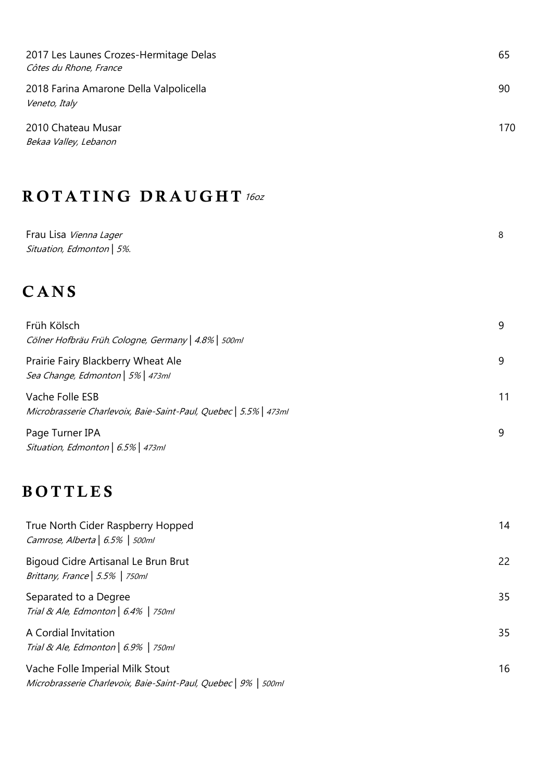| 2017 Les Launes Crozes-Hermitage Delas<br>Côtes du Rhone, France | 65  |
|------------------------------------------------------------------|-----|
| 2018 Farina Amarone Della Valpolicella<br>Veneto, Italy          | 90  |
| 2010 Chateau Musar<br>Bekaa Valley, Lebanon                      | 170 |
| <b>ROTATING DRAUGHT 160Z</b>                                     |     |

| Frau Lisa Vienna Lager    |  |
|---------------------------|--|
| Situation, Edmonton   5%. |  |

## **CANS**

| Früh Kölsch<br>Cölner Hofbräu Früh, Cologne, Germany   4.8%   500ml                                | 9  |
|----------------------------------------------------------------------------------------------------|----|
| Prairie Fairy Blackberry Wheat Ale<br>Sea Change, Edmonton   5%   473ml                            | 9  |
| Vache Folle ESB<br>Microbrasserie Charlevoix, Baie-Saint-Paul, Quebec   5.5%   473ml               | 11 |
| Page Turner IPA<br>Situation, Edmonton   6.5%   473ml                                              | 9  |
| <b>BOTTLES</b>                                                                                     |    |
| True North Cider Raspberry Hopped<br>Camrose, Alberta   6.5%   500ml                               | 14 |
| Bigoud Cidre Artisanal Le Brun Brut<br>Brittany, France   5.5%   750ml                             | 22 |
| Separated to a Degree<br>Trial & Ale, Edmonton   6.4%   750ml                                      | 35 |
| A Cordial Invitation<br>Trial & Ale, Edmonton   6.9%   750ml                                       | 35 |
| Vache Folle Imperial Milk Stout<br>Microbrasserie Charlevoix, Baie-Saint-Paul, Quebec   9%   500ml | 16 |